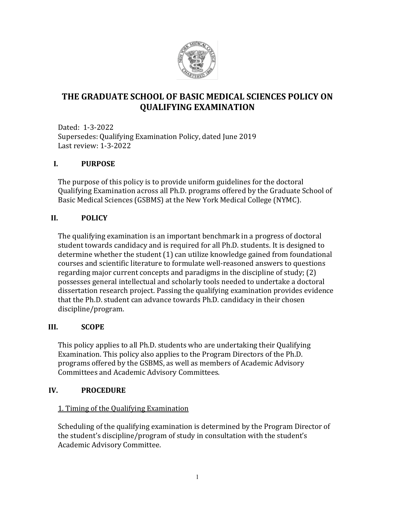

# **THE GRADUATE SCHOOL OF BASIC MEDICAL SCIENCES POLICY ON QUALIFYING EXAMINATION**

Dated: 1-3-2022 Supersedes: Qualifying Examination Policy, dated June 2019 Last review: 1-3-2022

## **I. PURPOSE**

The purpose of this policy is to provide uniform guidelines for the doctoral Qualifying Examination across all Ph.D. programs offered by the Graduate School of Basic Medical Sciences (GSBMS) at the New York Medical College (NYMC).

## **II. POLICY**

The qualifying examination is an important benchmark in a progress of doctoral student towards candidacy and is required for all Ph.D. students. It is designed to determine whether the student (1) can utilize knowledge gained from foundational courses and scientific literature to formulate well-reasoned answers to questions regarding major current concepts and paradigms in the discipline of study; (2) possesses general intellectual and scholarly tools needed to undertake a doctoral dissertation research project. Passing the qualifying examination provides evidence that the Ph.D. student can advance towards Ph.D. candidacy in their chosen discipline/program.

## **III. SCOPE**

This policy applies to all Ph.D. students who are undertaking their Qualifying Examination. This policy also applies to the Program Directors of the Ph.D. programs offered by the GSBMS, as well as members of Academic Advisory Committees and Academic Advisory Committees.

## **IV. PROCEDURE**

## 1. Timing of the Qualifying Examination

Scheduling of the qualifying examination is determined by the Program Director of the student's discipline/program of study in consultation with the student's Academic Advisory Committee.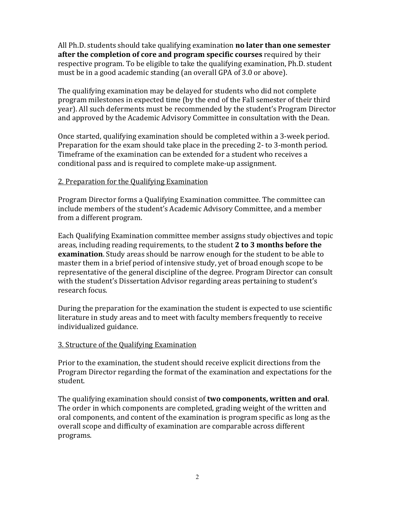All Ph.D. students should take qualifying examination **no later than one semester after the completion of core and program specific courses** required by their respective program. To be eligible to take the qualifying examination, Ph.D. student must be in a good academic standing (an overall GPA of 3.0 or above).

The qualifying examination may be delayed for students who did not complete program milestones in expected time (by the end of the Fall semester of their third year). All such deferments must be recommended by the student's Program Director and approved by the Academic Advisory Committee in consultation with the Dean.

Once started, qualifying examination should be completed within a 3-week period. Preparation for the exam should take place in the preceding 2- to 3-month period. Timeframe of the examination can be extended for a student who receives a conditional pass and is required to complete make-up assignment.

### 2. Preparation for the Qualifying Examination

Program Director forms a Qualifying Examination committee. The committee can include members of the student's Academic Advisory Committee, and a member from a different program.

Each Qualifying Examination committee member assigns study objectives and topic areas, including reading requirements, to the student **2 to 3 months before the examination**. Study areas should be narrow enough for the student to be able to master them in a brief period of intensive study, yet of broad enough scope to be representative of the general discipline of the degree. Program Director can consult with the student's Dissertation Advisor regarding areas pertaining to student's research focus.

During the preparation for the examination the student is expected to use scientific literature in study areas and to meet with faculty members frequently to receive individualized guidance.

## 3. Structure of the Qualifying Examination

Prior to the examination, the student should receive explicit directions from the Program Director regarding the format of the examination and expectations for the student.

The qualifying examination should consist of **two components, written and oral**. The order in which components are completed, grading weight of the written and oral components, and content of the examination is program specific as long as the overall scope and difficulty of examination are comparable across different programs.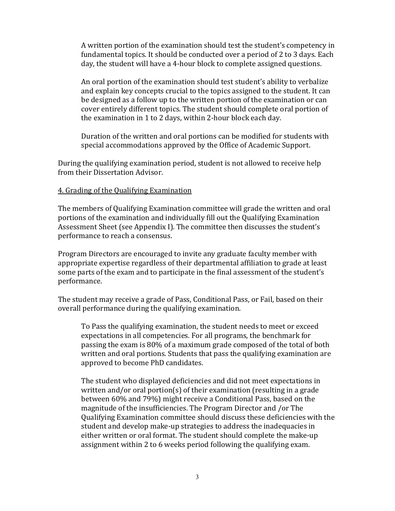A written portion of the examination should test the student's competency in fundamental topics. It should be conducted over a period of 2 to 3 days. Each day, the student will have a 4-hour block to complete assigned questions.

An oral portion of the examination should test student's ability to verbalize and explain key concepts crucial to the topics assigned to the student. It can be designed as a follow up to the written portion of the examination or can cover entirely different topics. The student should complete oral portion of the examination in 1 to 2 days, within 2-hour block each day.

Duration of the written and oral portions can be modified for students with special accommodations approved by the Office of Academic Support.

During the qualifying examination period, student is not allowed to receive help from their Dissertation Advisor.

### 4. Grading of the Qualifying Examination

The members of Qualifying Examination committee will grade the written and oral portions of the examination and individually fill out the Qualifying Examination Assessment Sheet (see Appendix I). The committee then discusses the student's performance to reach a consensus.

Program Directors are encouraged to invite any graduate faculty member with appropriate expertise regardless of their departmental affiliation to grade at least some parts of the exam and to participate in the final assessment of the student's performance.

The student may receive a grade of Pass, Conditional Pass, or Fail, based on their overall performance during the qualifying examination.

To Pass the qualifying examination, the student needs to meet or exceed expectations in all competencies. For all programs, the benchmark for passing the exam is 80% of a maximum grade composed of the total of both written and oral portions. Students that pass the qualifying examination are approved to become PhD candidates.

The student who displayed deficiencies and did not meet expectations in written and/or oral portion(s) of their examination (resulting in a grade between 60% and 79%) might receive a Conditional Pass, based on the magnitude of the insufficiencies. The Program Director and /or The Qualifying Examination committee should discuss these deficiencies with the student and develop make-up strategies to address the inadequacies in either written or oral format. The student should complete the make-up assignment within 2 to 6 weeks period following the qualifying exam.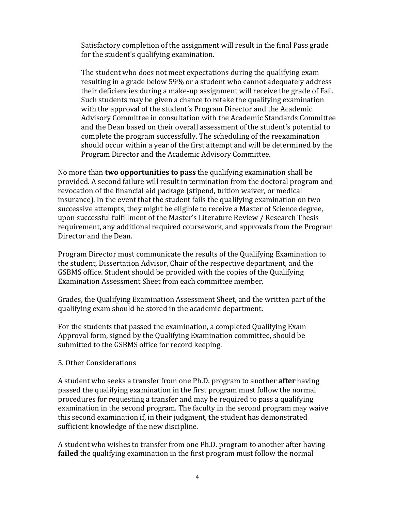Satisfactory completion of the assignment will result in the final Pass grade for the student's qualifying examination.

The student who does not meet expectations during the qualifying exam resulting in a grade below 59% or a student who cannot adequately address their deficiencies during a make-up assignment will receive the grade of Fail. Such students may be given a chance to retake the qualifying examination with the approval of the student's Program Director and the Academic Advisory Committee in consultation with the Academic Standards Committee and the Dean based on their overall assessment of the student's potential to complete the program successfully. The scheduling of the reexamination should occur within a year of the first attempt and will be determined by the Program Director and the Academic Advisory Committee.

No more than **two opportunities to pass** the qualifying examination shall be provided. A second failure will result in termination from the doctoral program and revocation of the financial aid package (stipend, tuition waiver, or medical insurance). In the event that the student fails the qualifying examination on two successive attempts, they might be eligible to receive a Master of Science degree, upon successful fulfillment of the Master's Literature Review / Research Thesis requirement, any additional required coursework, and approvals from the Program Director and the Dean.

Program Director must communicate the results of the Qualifying Examination to the student, Dissertation Advisor, Chair of the respective department, and the GSBMS office. Student should be provided with the copies of the Qualifying Examination Assessment Sheet from each committee member.

Grades, the Qualifying Examination Assessment Sheet, and the written part of the qualifying exam should be stored in the academic department.

For the students that passed the examination, a completed Qualifying Exam Approval form, signed by the Qualifying Examination committee, should be submitted to the GSBMS office for record keeping.

#### 5. Other Considerations

A student who seeks a transfer from one Ph.D. program to another **after** having passed the qualifying examination in the first program must follow the normal procedures for requesting a transfer and may be required to pass a qualifying examination in the second program. The faculty in the second program may waive this second examination if, in their judgment, the student has demonstrated sufficient knowledge of the new discipline.

A student who wishes to transfer from one Ph.D. program to another after having **failed** the qualifying examination in the first program must follow the normal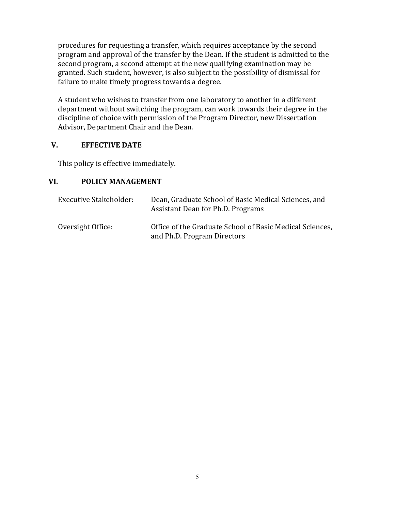procedures for requesting a transfer, which requires acceptance by the second program and approval of the transfer by the Dean. If the student is admitted to the second program, a second attempt at the new qualifying examination may be granted. Such student, however, is also subject to the possibility of dismissal for failure to make timely progress towards a degree.

A student who wishes to transfer from one laboratory to another in a different department without switching the program, can work towards their degree in the discipline of choice with permission of the Program Director, new Dissertation Advisor, Department Chair and the Dean.

## **V. EFFECTIVE DATE**

This policy is effective immediately.

## **VI. POLICY MANAGEMENT**

| <b>Executive Stakeholder:</b> | Dean, Graduate School of Basic Medical Sciences, and<br>Assistant Dean for Ph.D. Programs |
|-------------------------------|-------------------------------------------------------------------------------------------|
| Oversight Office:             | Office of the Graduate School of Basic Medical Sciences,<br>and Ph.D. Program Directors   |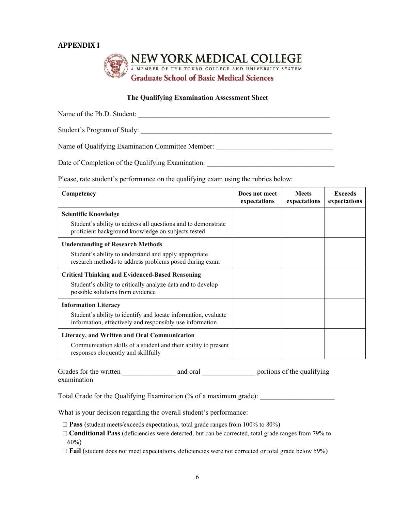### **APPENDIX I**



#### **The Qualifying Examination Assessment Sheet**

Name of the Ph.D. Student: \_\_\_\_\_\_\_\_\_\_\_\_\_\_\_\_\_\_\_\_\_\_\_\_\_\_\_\_\_\_\_\_\_\_\_\_\_\_\_\_\_\_\_\_\_\_\_\_\_\_\_\_\_\_

Student's Program of Study: \_\_\_\_\_\_\_\_\_\_\_\_\_\_\_\_\_\_\_\_\_\_\_\_\_\_\_\_\_\_\_\_\_\_\_\_\_\_\_\_\_\_\_\_\_\_\_\_\_\_\_\_\_\_

Name of Qualifying Examination Committee Member:

Date of Completion of the Qualifying Examination:

Please, rate student's performance on the qualifying exam using the rubrics below:

| Competency                                                                                                                  | Does not meet<br>expectations | <b>Meets</b><br>expectations | <b>Exceeds</b><br>expectations |
|-----------------------------------------------------------------------------------------------------------------------------|-------------------------------|------------------------------|--------------------------------|
| <b>Scientific Knowledge</b>                                                                                                 |                               |                              |                                |
| Student's ability to address all questions and to demonstrate<br>proficient background knowledge on subjects tested         |                               |                              |                                |
| <b>Understanding of Research Methods</b>                                                                                    |                               |                              |                                |
| Student's ability to understand and apply appropriate<br>research methods to address problems posed during exam             |                               |                              |                                |
| <b>Critical Thinking and Evidenced-Based Reasoning</b>                                                                      |                               |                              |                                |
| Student's ability to critically analyze data and to develop<br>possible solutions from evidence                             |                               |                              |                                |
| <b>Information Literacy</b>                                                                                                 |                               |                              |                                |
| Student's ability to identify and locate information, evaluate<br>information, effectively and responsibly use information. |                               |                              |                                |
| Literacy, and Written and Oral Communication                                                                                |                               |                              |                                |
| Communication skills of a student and their ability to present<br>responses eloquently and skillfully                       |                               |                              |                                |

Grades for the written and oral and oral portions of the qualifying examination

Total Grade for the Qualifying Examination  $\frac{6}{6}$  of a maximum grade):

What is your decision regarding the overall student's performance:

□ **Pass** (student meets/exceeds expectations, total grade ranges from 100% to 80%)

□ **Conditional Pass** (deficiencies were detected, but can be corrected, total grade ranges from 79% to 60%)

□ **Fail** (student does not meet expectations, deficiencies were not corrected or total grade below 59%)